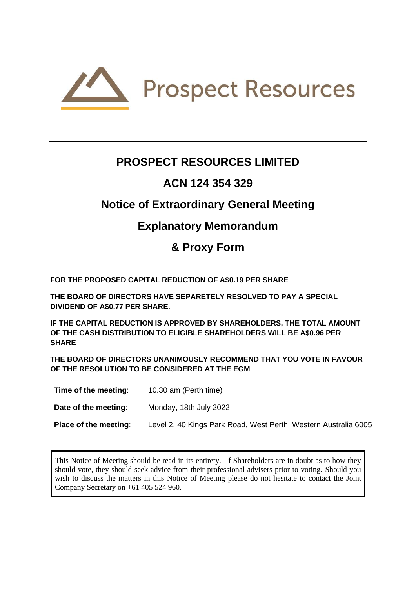

# **PROSPECT RESOURCES LIMITED**

# **ACN 124 354 329**

# **Notice of Extraordinary General Meeting**

# **Explanatory Memorandum**

**& Proxy Form**

**FOR THE PROPOSED CAPITAL REDUCTION OF A\$0.19 PER SHARE**

**THE BOARD OF DIRECTORS HAVE SEPARETELY RESOLVED TO PAY A SPECIAL DIVIDEND OF A\$0.77 PER SHARE.** 

**IF THE CAPITAL REDUCTION IS APPROVED BY SHAREHOLDERS, THE TOTAL AMOUNT OF THE CASH DISTRIBUTION TO ELIGIBLE SHAREHOLDERS WILL BE A\$0.96 PER SHARE**

**THE BOARD OF DIRECTORS UNANIMOUSLY RECOMMEND THAT YOU VOTE IN FAVOUR OF THE RESOLUTION TO BE CONSIDERED AT THE EGM**

| Time of the meeting:         | 10.30 am (Perth time)                                           |
|------------------------------|-----------------------------------------------------------------|
| Date of the meeting:         | Monday, 18th July 2022                                          |
| <b>Place of the meeting:</b> | Level 2, 40 Kings Park Road, West Perth, Western Australia 6005 |

This Notice of Meeting should be read in its entirety. If Shareholders are in doubt as to how they should vote, they should seek advice from their professional advisers prior to voting. Should you wish to discuss the matters in this Notice of Meeting please do not hesitate to contact the Joint Company Secretary on +61 405 524 960.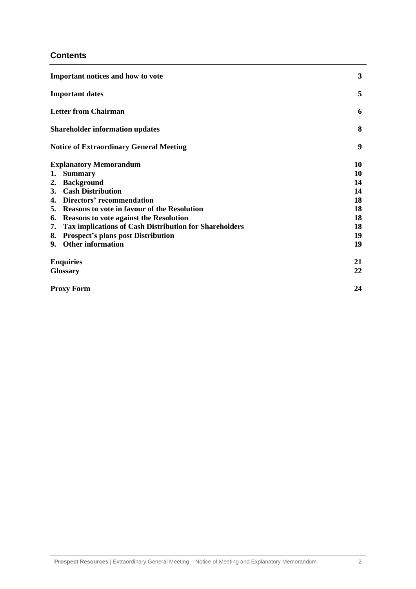#### **Contents**

| Important notices and how to vote |                                                               |    |
|-----------------------------------|---------------------------------------------------------------|----|
| <b>Important dates</b>            |                                                               |    |
|                                   | <b>Letter from Chairman</b>                                   | 6  |
|                                   | <b>Shareholder information updates</b>                        | 8  |
|                                   | <b>Notice of Extraordinary General Meeting</b>                | 9  |
|                                   | <b>Explanatory Memorandum</b>                                 | 10 |
| 1.                                | <b>Summary</b>                                                | 10 |
|                                   | 2. Background                                                 | 14 |
|                                   | 3. Cash Distribution                                          | 14 |
|                                   | 4. Directors' recommendation                                  | 18 |
|                                   | 5. Reasons to vote in favour of the Resolution                | 18 |
|                                   | 6. Reasons to vote against the Resolution                     | 18 |
| 7.                                | <b>Tax implications of Cash Distribution for Shareholders</b> | 18 |
|                                   | 8. Prospect's plans post Distribution                         | 19 |
|                                   | 9. Other information                                          | 19 |
|                                   | <b>Enquiries</b>                                              | 21 |
|                                   | <b>Glossary</b>                                               | 22 |
|                                   | <b>Proxy Form</b>                                             | 24 |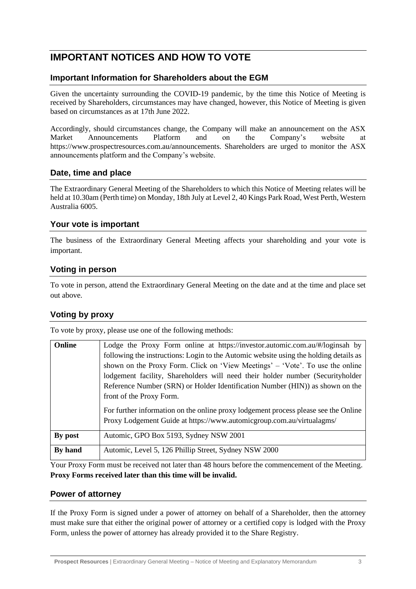# **IMPORTANT NOTICES AND HOW TO VOTE**

#### **Important Information for Shareholders about the EGM**

Given the uncertainty surrounding the COVID-19 pandemic, by the time this Notice of Meeting is received by Shareholders, circumstances may have changed, however, this Notice of Meeting is given based on circumstances as at 17th June 2022.

Accordingly, should circumstances change, the Company will make an announcement on the ASX Market Announcements Platform and on the Company's website at https://www.prospectresources.com.au/announcements. Shareholders are urged to monitor the ASX announcements platform and the Company's website.

#### **Date, time and place**

The Extraordinary General Meeting of the Shareholders to which this Notice of Meeting relates will be held at 10.30am (Perth time) on Monday, 18th July at Level 2, 40 Kings Park Road, West Perth, Western Australia 6005.

#### **Your vote is important**

The business of the Extraordinary General Meeting affects your shareholding and your vote is important.

#### **Voting in person**

To vote in person, attend the Extraordinary General Meeting on the date and at the time and place set out above.

#### **Voting by proxy**

To vote by proxy, please use one of the following methods:

| Online  | Lodge the Proxy Form online at https://investor.automic.com.au/#/loginsah by<br>following the instructions: Login to the Automic website using the holding details as<br>shown on the Proxy Form. Click on 'View Meetings' – 'Vote'. To use the online<br>lodgement facility, Shareholders will need their holder number (Securityholder<br>Reference Number (SRN) or Holder Identification Number (HIN)) as shown on the<br>front of the Proxy Form. |
|---------|-------------------------------------------------------------------------------------------------------------------------------------------------------------------------------------------------------------------------------------------------------------------------------------------------------------------------------------------------------------------------------------------------------------------------------------------------------|
|         | For further information on the online proxy lodgement process please see the Online<br>Proxy Lodgement Guide at https://www.automicgroup.com.au/virtualagms/                                                                                                                                                                                                                                                                                          |
| By post | Automic, GPO Box 5193, Sydney NSW 2001                                                                                                                                                                                                                                                                                                                                                                                                                |
| By hand | Automic, Level 5, 126 Phillip Street, Sydney NSW 2000                                                                                                                                                                                                                                                                                                                                                                                                 |

Your Proxy Form must be received not later than 48 hours before the commencement of the Meeting. **Proxy Forms received later than this time will be invalid.**

#### **Power of attorney**

If the Proxy Form is signed under a power of attorney on behalf of a Shareholder, then the attorney must make sure that either the original power of attorney or a certified copy is lodged with the Proxy Form, unless the power of attorney has already provided it to the Share Registry.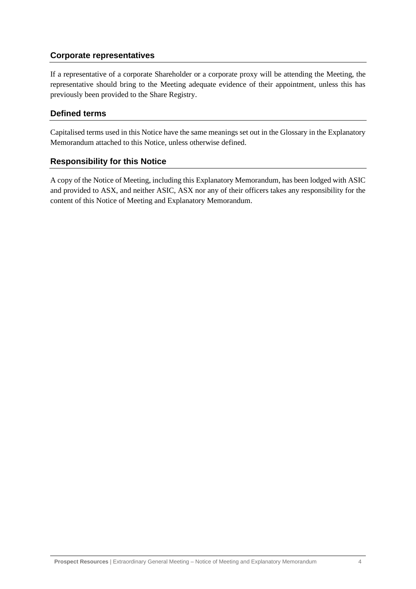#### **Corporate representatives**

If a representative of a corporate Shareholder or a corporate proxy will be attending the Meeting, the representative should bring to the Meeting adequate evidence of their appointment, unless this has previously been provided to the Share Registry.

#### **Defined terms**

Capitalised terms used in this Notice have the same meanings set out in the Glossary in the Explanatory Memorandum attached to this Notice, unless otherwise defined.

#### **Responsibility for this Notice**

A copy of the Notice of Meeting, including this Explanatory Memorandum, has been lodged with ASIC and provided to ASX, and neither ASIC, ASX nor any of their officers takes any responsibility for the content of this Notice of Meeting and Explanatory Memorandum.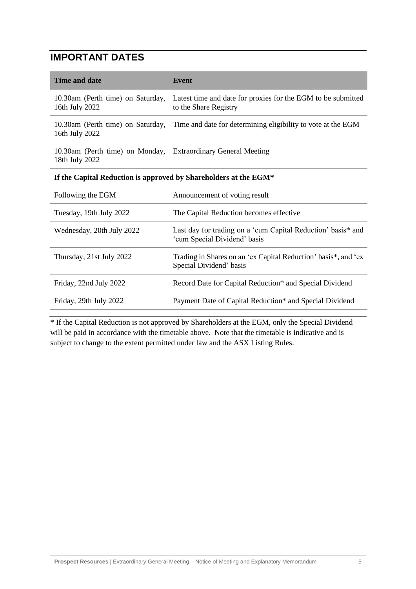# **IMPORTANT DATES**

| <b>Time and date</b>                                                            | <b>Event</b>                                                                                 |
|---------------------------------------------------------------------------------|----------------------------------------------------------------------------------------------|
| 10.30am (Perth time) on Saturday,<br>16th July 2022                             | Latest time and date for proxies for the EGM to be submitted<br>to the Share Registry        |
| 10.30am (Perth time) on Saturday,<br>16th July 2022                             | Time and date for determining eligibility to vote at the EGM                                 |
| 10.30am (Perth time) on Monday, Extraordinary General Meeting<br>18th July 2022 |                                                                                              |
| If the Capital Reduction is approved by Shareholders at the EGM*                |                                                                                              |
| Following the EGM                                                               | Announcement of voting result                                                                |
| Tuesday, 19th July 2022                                                         | The Capital Reduction becomes effective                                                      |
| Wednesday, 20th July 2022                                                       | Last day for trading on a 'cum Capital Reduction' basis* and<br>'cum Special Dividend' basis |
| Thursday, 21st July 2022                                                        | Trading in Shares on an 'ex Capital Reduction' basis*, and 'ex<br>Special Dividend' basis    |
| Friday, 22nd July 2022                                                          | Record Date for Capital Reduction* and Special Dividend                                      |
| Friday, 29th July 2022                                                          | Payment Date of Capital Reduction* and Special Dividend                                      |

\* If the Capital Reduction is not approved by Shareholders at the EGM, only the Special Dividend will be paid in accordance with the timetable above. Note that the timetable is indicative and is subject to change to the extent permitted under law and the ASX Listing Rules.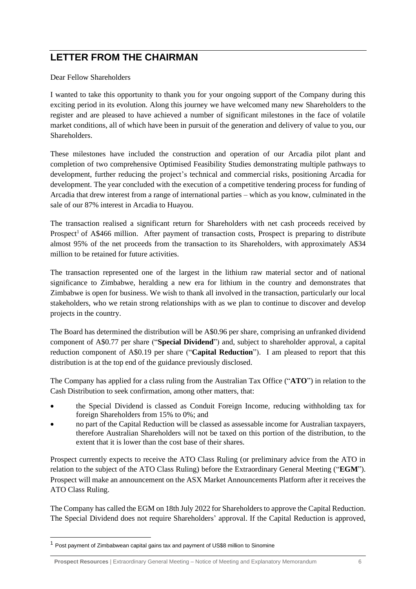# **LETTER FROM THE CHAIRMAN**

Dear Fellow Shareholders

I wanted to take this opportunity to thank you for your ongoing support of the Company during this exciting period in its evolution. Along this journey we have welcomed many new Shareholders to the register and are pleased to have achieved a number of significant milestones in the face of volatile market conditions, all of which have been in pursuit of the generation and delivery of value to you, our Shareholders.

These milestones have included the construction and operation of our Arcadia pilot plant and completion of two comprehensive Optimised Feasibility Studies demonstrating multiple pathways to development, further reducing the project's technical and commercial risks, positioning Arcadia for development. The year concluded with the execution of a competitive tendering process for funding of Arcadia that drew interest from a range of international parties – which as you know, culminated in the sale of our 87% interest in Arcadia to Huayou.

The transaction realised a significant return for Shareholders with net cash proceeds received by Prospect<sup>1</sup> of A\$466 million. After payment of transaction costs, Prospect is preparing to distribute almost 95% of the net proceeds from the transaction to its Shareholders, with approximately A\$34 million to be retained for future activities.

The transaction represented one of the largest in the lithium raw material sector and of national significance to Zimbabwe, heralding a new era for lithium in the country and demonstrates that Zimbabwe is open for business. We wish to thank all involved in the transaction, particularly our local stakeholders, who we retain strong relationships with as we plan to continue to discover and develop projects in the country.

The Board has determined the distribution will be A\$0.96 per share, comprising an unfranked dividend component of A\$0.77 per share ("**Special Dividend**") and, subject to shareholder approval, a capital reduction component of A\$0.19 per share ("**Capital Reduction**"). I am pleased to report that this distribution is at the top end of the guidance previously disclosed.

The Company has applied for a class ruling from the Australian Tax Office ("**ATO**") in relation to the Cash Distribution to seek confirmation, among other matters, that:

- the Special Dividend is classed as Conduit Foreign Income, reducing withholding tax for foreign Shareholders from 15% to 0%; and
- no part of the Capital Reduction will be classed as assessable income for Australian taxpayers, therefore Australian Shareholders will not be taxed on this portion of the distribution, to the extent that it is lower than the cost base of their shares.

Prospect currently expects to receive the ATO Class Ruling (or preliminary advice from the ATO in relation to the subject of the ATO Class Ruling) before the Extraordinary General Meeting ("**EGM**"). Prospect will make an announcement on the ASX Market Announcements Platform after it receives the ATO Class Ruling.

The Company has called the EGM on 18th July 2022 for Shareholders to approve the Capital Reduction. The Special Dividend does not require Shareholders' approval. If the Capital Reduction is approved,

<sup>&</sup>lt;sup>1</sup> Post payment of Zimbabwean capital gains tax and payment of US\$8 million to Sinomine

**Prospect Resources** | Extraordinary General Meeting – Notice of Meeting and Explanatory Memorandum 6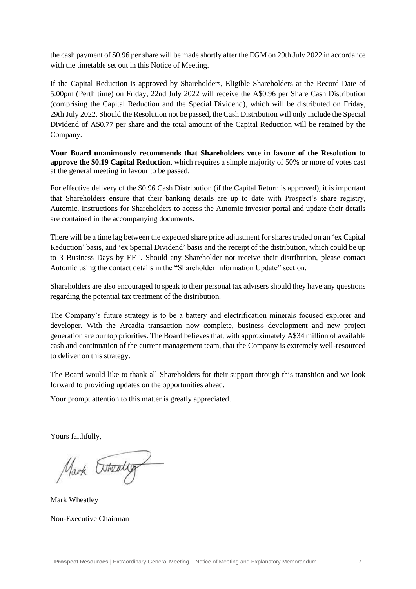the cash payment of \$0.96 per share will be made shortly after the EGM on 29th July 2022 in accordance with the timetable set out in this Notice of Meeting.

If the Capital Reduction is approved by Shareholders, Eligible Shareholders at the Record Date of 5.00pm (Perth time) on Friday, 22nd July 2022 will receive the A\$0.96 per Share Cash Distribution (comprising the Capital Reduction and the Special Dividend), which will be distributed on Friday, 29th July 2022. Should the Resolution not be passed, the Cash Distribution will only include the Special Dividend of A\$0.77 per share and the total amount of the Capital Reduction will be retained by the Company.

**Your Board unanimously recommends that Shareholders vote in favour of the Resolution to approve the \$0.19 Capital Reduction**, which requires a simple majority of 50% or more of votes cast at the general meeting in favour to be passed.

For effective delivery of the \$0.96 Cash Distribution (if the Capital Return is approved), it is important that Shareholders ensure that their banking details are up to date with Prospect's share registry, Automic. Instructions for Shareholders to access the Automic investor portal and update their details are contained in the accompanying documents.

There will be a time lag between the expected share price adjustment for shares traded on an 'ex Capital Reduction' basis, and 'ex Special Dividend' basis and the receipt of the distribution, which could be up to 3 Business Days by EFT. Should any Shareholder not receive their distribution, please contact Automic using the contact details in the "Shareholder Information Update" section.

Shareholders are also encouraged to speak to their personal tax advisers should they have any questions regarding the potential tax treatment of the distribution.

The Company's future strategy is to be a battery and electrification minerals focused explorer and developer. With the Arcadia transaction now complete, business development and new project generation are our top priorities. The Board believes that, with approximately A\$34 million of available cash and continuation of the current management team, that the Company is extremely well-resourced to deliver on this strategy.

The Board would like to thank all Shareholders for their support through this transition and we look forward to providing updates on the opportunities ahead.

Your prompt attention to this matter is greatly appreciated.

Yours faithfully,

Mark Etheating

Mark Wheatley

Non-Executive Chairman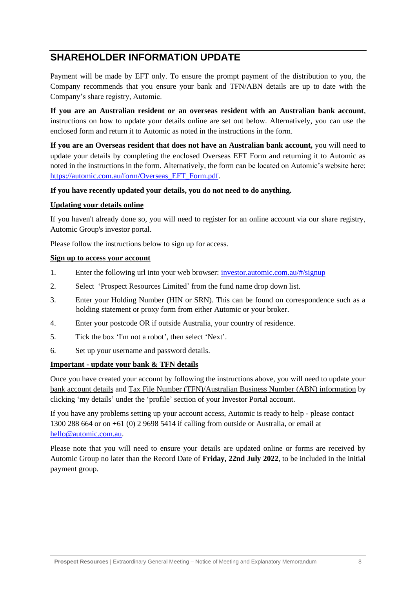## **SHAREHOLDER INFORMATION UPDATE**

Payment will be made by EFT only. To ensure the prompt payment of the distribution to you, the Company recommends that you ensure your bank and TFN/ABN details are up to date with the Company's share registry, Automic.

**If you are an Australian resident or an overseas resident with an Australian bank account**, instructions on how to update your details online are set out below. Alternatively, you can use the enclosed form and return it to Automic as noted in the instructions in the form.

**If you are an Overseas resident that does not have an Australian bank account,** you will need to update your details by completing the enclosed Overseas EFT Form and returning it to Automic as noted in the instructions in the form. Alternatively, the form can be located on Automic's website here: [https://automic.com.au/form/Overseas\\_EFT\\_Form.pdf.](https://automic.com.au/form/Overseas_EFT_Form.pdf)

#### **If you have recently updated your details, you do not need to do anything.**

#### **Updating your details online**

If you haven't already done so, you will need to register for an online account via our share registry, Automic Group's investor portal.

Please follow the instructions below to sign up for access.

#### **Sign up to access your account**

- 1. Enter the following url into your web browser: [investor.automic.com.au/#/signup](https://aus01.safelinks.protection.outlook.com/?url=https%3A%2F%2Finvestor.automic.com.au%2F%23%2Fsignup&data=05%7C01%7C%7C45dc467974c449c03b9d08da389def3b%7C7e4a842150524163990092bf44244322%7C0%7C1%7C637884548224218514%7CUnknown%7CTWFpbGZsb3d8eyJWIjoiMC4wLjAwMDAiLCJQIjoiV2luMzIiLCJBTiI6Ik1haWwiLCJXVCI6Mn0%3D%7C3000%7C%7C%7C&sdata=1VwPKtuoZMWfqCIyluhGFrYFqZyY2o%2FKoWNIXsUDZHo%3D&reserved=0)
- 2. Select 'Prospect Resources Limited' from the fund name drop down list.
- 3. Enter your Holding Number (HIN or SRN). This can be found on correspondence such as a holding statement or proxy form from either Automic or your broker.
- 4. Enter your postcode OR if outside Australia, your country of residence.
- 5. Tick the box 'I'm not a robot', then select 'Next'.
- 6. Set up your username and password details.

#### **Important - update your bank & TFN details**

Once you have created your account by following the instructions above, you will need to update your bank account details and Tax File Number (TFN)/Australian Business Number (ABN) information by clicking 'my details' under the 'profile' section of your Investor Portal account.

If you have any problems setting up your account access, Automic is ready to help - please contact 1300 288 664 or on +61 (0) 2 9698 5414 if calling from outside or Australia, or email at [hello@automic.com.au.](mailto:hello@automic.com.au)

Please note that you will need to ensure your details are updated online or forms are received by Automic Group no later than the Record Date of **Friday, 22nd July 2022**, to be included in the initial payment group.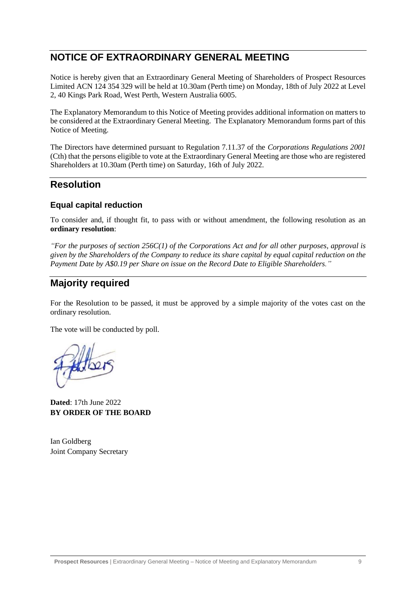## **NOTICE OF EXTRAORDINARY GENERAL MEETING**

Notice is hereby given that an Extraordinary General Meeting of Shareholders of Prospect Resources Limited ACN 124 354 329 will be held at 10.30am (Perth time) on Monday, 18th of July 2022 at Level 2, 40 Kings Park Road, West Perth, Western Australia 6005.

The Explanatory Memorandum to this Notice of Meeting provides additional information on matters to be considered at the Extraordinary General Meeting. The Explanatory Memorandum forms part of this Notice of Meeting.

The Directors have determined pursuant to Regulation 7.11.37 of the *Corporations Regulations 2001* (Cth) that the persons eligible to vote at the Extraordinary General Meeting are those who are registered Shareholders at 10.30am (Perth time) on Saturday, 16th of July 2022.

### **Resolution**

#### **Equal capital reduction**

To consider and, if thought fit, to pass with or without amendment, the following resolution as an **ordinary resolution**:

*"For the purposes of section 256C(1) of the Corporations Act and for all other purposes, approval is given by the Shareholders of the Company to reduce its share capital by equal capital reduction on the Payment Date by A\$0.19 per Share on issue on the Record Date to Eligible Shareholders."* 

# **Majority required**

For the Resolution to be passed, it must be approved by a simple majority of the votes cast on the ordinary resolution.

The vote will be conducted by poll.

**Dated**: 17th June 2022 **BY ORDER OF THE BOARD**

Ian Goldberg Joint Company Secretary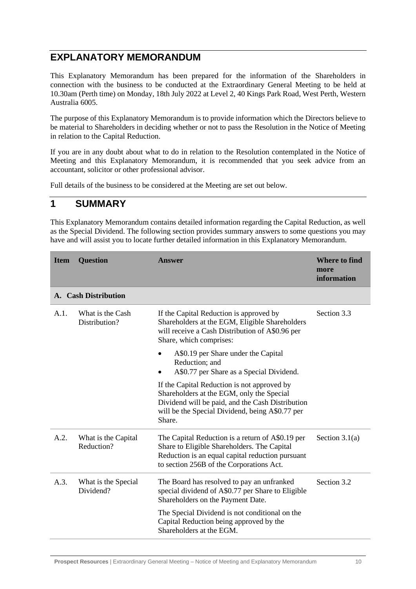## **EXPLANATORY MEMORANDUM**

This Explanatory Memorandum has been prepared for the information of the Shareholders in connection with the business to be conducted at the Extraordinary General Meeting to be held at 10.30am (Perth time) on Monday, 18th July 2022 at Level 2, 40 Kings Park Road, West Perth, Western Australia 6005.

The purpose of this Explanatory Memorandum is to provide information which the Directors believe to be material to Shareholders in deciding whether or not to pass the Resolution in the Notice of Meeting in relation to the Capital Reduction.

If you are in any doubt about what to do in relation to the Resolution contemplated in the Notice of Meeting and this Explanatory Memorandum, it is recommended that you seek advice from an accountant, solicitor or other professional advisor.

Full details of the business to be considered at the Meeting are set out below.

### **1 SUMMARY**

This Explanatory Memorandum contains detailed information regarding the Capital Reduction, as well as the Special Dividend. The following section provides summary answers to some questions you may have and will assist you to locate further detailed information in this Explanatory Memorandum.

| <b>Item</b> | <b>Question</b>                   | <b>Answer</b>                                                                                                                                                                                             | <b>Where to find</b><br>more<br>information |
|-------------|-----------------------------------|-----------------------------------------------------------------------------------------------------------------------------------------------------------------------------------------------------------|---------------------------------------------|
|             | A. Cash Distribution              |                                                                                                                                                                                                           |                                             |
| A.1.        | What is the Cash<br>Distribution? | If the Capital Reduction is approved by<br>Shareholders at the EGM, Eligible Shareholders<br>will receive a Cash Distribution of A\$0.96 per<br>Share, which comprises:                                   | Section 3.3                                 |
|             |                                   | A\$0.19 per Share under the Capital<br>Reduction; and<br>A\$0.77 per Share as a Special Dividend.                                                                                                         |                                             |
|             |                                   | If the Capital Reduction is not approved by<br>Shareholders at the EGM, only the Special<br>Dividend will be paid, and the Cash Distribution<br>will be the Special Dividend, being A\$0.77 per<br>Share. |                                             |
| A.2.        | What is the Capital<br>Reduction? | The Capital Reduction is a return of A\$0.19 per<br>Share to Eligible Shareholders. The Capital<br>Reduction is an equal capital reduction pursuant<br>to section 256B of the Corporations Act.           | Section $3.1(a)$                            |
| A.3.        | What is the Special<br>Dividend?  | The Board has resolved to pay an unfranked<br>special dividend of A\$0.77 per Share to Eligible<br>Shareholders on the Payment Date.                                                                      | Section 3.2                                 |
|             |                                   | The Special Dividend is not conditional on the<br>Capital Reduction being approved by the<br>Shareholders at the EGM.                                                                                     |                                             |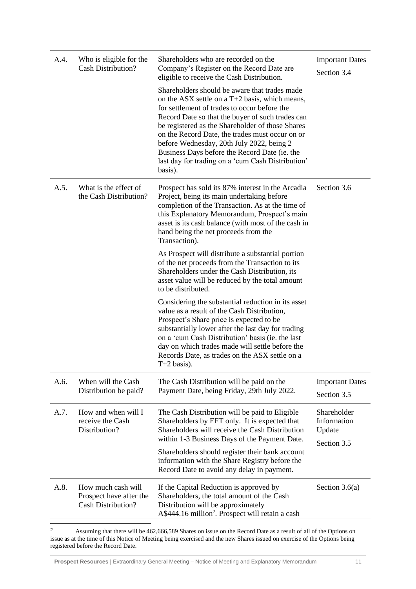| A.4. | Who is eligible for the<br><b>Cash Distribution?</b>                | Shareholders who are recorded on the<br>Company's Register on the Record Date are<br>eligible to receive the Cash Distribution.                                                                                                                                                                                                                                                                                                                                            | <b>Important Dates</b><br>Section 3.4               |
|------|---------------------------------------------------------------------|----------------------------------------------------------------------------------------------------------------------------------------------------------------------------------------------------------------------------------------------------------------------------------------------------------------------------------------------------------------------------------------------------------------------------------------------------------------------------|-----------------------------------------------------|
|      |                                                                     | Shareholders should be aware that trades made<br>on the ASX settle on a $T+2$ basis, which means,<br>for settlement of trades to occur before the<br>Record Date so that the buyer of such trades can<br>be registered as the Shareholder of those Shares<br>on the Record Date, the trades must occur on or<br>before Wednesday, 20th July 2022, being 2<br>Business Days before the Record Date (ie. the<br>last day for trading on a 'cum Cash Distribution'<br>basis). |                                                     |
| A.5. | What is the effect of<br>the Cash Distribution?                     | Prospect has sold its 87% interest in the Arcadia<br>Project, being its main undertaking before<br>completion of the Transaction. As at the time of<br>this Explanatory Memorandum, Prospect's main<br>asset is its cash balance (with most of the cash in<br>hand being the net proceeds from the<br>Transaction).                                                                                                                                                        | Section 3.6                                         |
|      |                                                                     | As Prospect will distribute a substantial portion<br>of the net proceeds from the Transaction to its<br>Shareholders under the Cash Distribution, its<br>asset value will be reduced by the total amount<br>to be distributed.                                                                                                                                                                                                                                             |                                                     |
|      |                                                                     | Considering the substantial reduction in its asset<br>value as a result of the Cash Distribution,<br>Prospect's Share price is expected to be<br>substantially lower after the last day for trading<br>on a 'cum Cash Distribution' basis (ie. the last<br>day on which trades made will settle before the<br>Records Date, as trades on the ASX settle on a<br>$T+2$ basis).                                                                                              |                                                     |
| A.6. | When will the Cash<br>Distribution be paid?                         | The Cash Distribution will be paid on the<br>Payment Date, being Friday, 29th July 2022.                                                                                                                                                                                                                                                                                                                                                                                   | <b>Important Dates</b><br>Section 3.5               |
| A.7. | How and when will I<br>receive the Cash<br>Distribution?            | The Cash Distribution will be paid to Eligible<br>Shareholders by EFT only. It is expected that<br>Shareholders will receive the Cash Distribution<br>within 1-3 Business Days of the Payment Date.                                                                                                                                                                                                                                                                        | Shareholder<br>Information<br>Update<br>Section 3.5 |
|      |                                                                     | Shareholders should register their bank account<br>information with the Share Registry before the<br>Record Date to avoid any delay in payment.                                                                                                                                                                                                                                                                                                                            |                                                     |
| A.8. | How much cash will<br>Prospect have after the<br>Cash Distribution? | If the Capital Reduction is approved by<br>Shareholders, the total amount of the Cash<br>Distribution will be approximately<br>A\$444.16 million <sup>2</sup> . Prospect will retain a cash                                                                                                                                                                                                                                                                                | Section $3.6(a)$                                    |

<sup>2</sup> Assuming that there will be 462,666,589 Shares on issue on the Record Date as a result of all of the Options on issue as at the time of this Notice of Meeting being exercised and the new Shares issued on exercise of the Options being registered before the Record Date.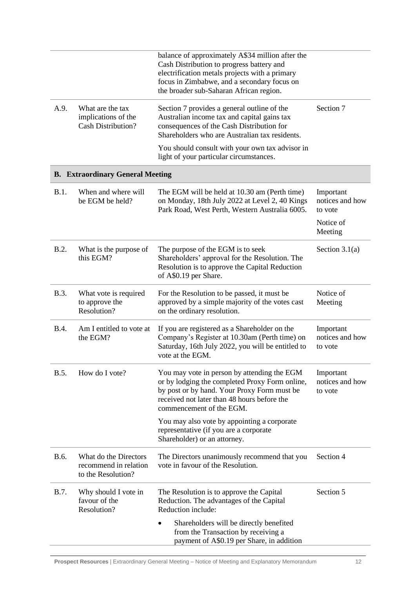|             |                                                                      | balance of approximately A\$34 million after the<br>Cash Distribution to progress battery and<br>electrification metals projects with a primary<br>focus in Zimbabwe, and a secondary focus on<br>the broader sub-Saharan African region. |                                         |
|-------------|----------------------------------------------------------------------|-------------------------------------------------------------------------------------------------------------------------------------------------------------------------------------------------------------------------------------------|-----------------------------------------|
| A.9.        | What are the tax<br>implications of the<br><b>Cash Distribution?</b> | Section 7 provides a general outline of the<br>Australian income tax and capital gains tax<br>consequences of the Cash Distribution for<br>Shareholders who are Australian tax residents.                                                 | Section 7                               |
|             |                                                                      | You should consult with your own tax advisor in<br>light of your particular circumstances.                                                                                                                                                |                                         |
|             | <b>B. Extraordinary General Meeting</b>                              |                                                                                                                                                                                                                                           |                                         |
| B.1.        | When and where will<br>be EGM be held?                               | The EGM will be held at 10.30 am (Perth time)<br>on Monday, 18th July 2022 at Level 2, 40 Kings<br>Park Road, West Perth, Western Australia 6005.                                                                                         | Important<br>notices and how<br>to vote |
|             |                                                                      |                                                                                                                                                                                                                                           | Notice of<br>Meeting                    |
| B.2.        | What is the purpose of<br>this EGM?                                  | The purpose of the EGM is to seek<br>Shareholders' approval for the Resolution. The<br>Resolution is to approve the Capital Reduction<br>of A\$0.19 per Share.                                                                            | Section $3.1(a)$                        |
| B.3.        | What vote is required<br>to approve the<br>Resolution?               | For the Resolution to be passed, it must be<br>approved by a simple majority of the votes cast<br>on the ordinary resolution.                                                                                                             | Notice of<br>Meeting                    |
| <b>B.4.</b> | Am I entitled to vote at<br>the EGM?                                 | If you are registered as a Shareholder on the<br>Company's Register at 10.30am (Perth time) on<br>Saturday, 16th July 2022, you will be entitled to<br>vote at the EGM.                                                                   | Important<br>notices and how<br>to vote |
| B.5.        | How do I vote?                                                       | You may vote in person by attending the EGM<br>or by lodging the completed Proxy Form online,<br>by post or by hand. Your Proxy Form must be<br>received not later than 48 hours before the<br>commencement of the EGM.                   | Important<br>notices and how<br>to vote |
|             |                                                                      | You may also vote by appointing a corporate<br>representative (if you are a corporate<br>Shareholder) or an attorney.                                                                                                                     |                                         |
| B.6.        | What do the Directors<br>recommend in relation<br>to the Resolution? | The Directors unanimously recommend that you<br>vote in favour of the Resolution.                                                                                                                                                         | Section 4                               |
| <b>B.7.</b> | Why should I vote in<br>favour of the<br>Resolution?                 | The Resolution is to approve the Capital<br>Reduction. The advantages of the Capital<br>Reduction include:                                                                                                                                | Section 5                               |
|             |                                                                      | Shareholders will be directly benefited<br>$\bullet$<br>from the Transaction by receiving a<br>payment of A\$0.19 per Share, in addition                                                                                                  |                                         |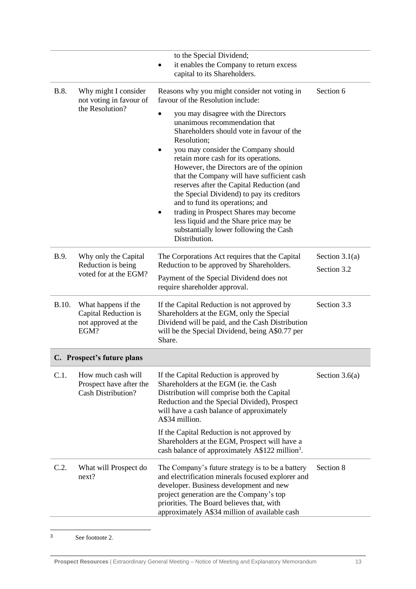|                                                                            | to the Special Dividend;<br>it enables the Company to return excess<br>capital to its Shareholders.                                                                                                                                                                                                                                                                                                                                                                                                                                                                                         |                                 |  |
|----------------------------------------------------------------------------|---------------------------------------------------------------------------------------------------------------------------------------------------------------------------------------------------------------------------------------------------------------------------------------------------------------------------------------------------------------------------------------------------------------------------------------------------------------------------------------------------------------------------------------------------------------------------------------------|---------------------------------|--|
| Why might I consider<br>not voting in favour of                            | Reasons why you might consider not voting in<br>Section 6<br>favour of the Resolution include:                                                                                                                                                                                                                                                                                                                                                                                                                                                                                              |                                 |  |
|                                                                            | you may disagree with the Directors<br>unanimous recommendation that<br>Shareholders should vote in favour of the<br>Resolution;<br>you may consider the Company should<br>٠<br>retain more cash for its operations.<br>However, the Directors are of the opinion<br>that the Company will have sufficient cash<br>reserves after the Capital Reduction (and<br>the Special Dividend) to pay its creditors<br>and to fund its operations; and<br>trading in Prospect Shares may become<br>less liquid and the Share price may be<br>substantially lower following the Cash<br>Distribution. |                                 |  |
| Why only the Capital<br>Reduction is being<br>voted for at the EGM?        | The Corporations Act requires that the Capital<br>Reduction to be approved by Shareholders.<br>Payment of the Special Dividend does not<br>require shareholder approval.                                                                                                                                                                                                                                                                                                                                                                                                                    | Section $3.1(a)$<br>Section 3.2 |  |
| What happens if the<br>Capital Reduction is<br>not approved at the<br>EGM? | If the Capital Reduction is not approved by<br>Shareholders at the EGM, only the Special<br>Dividend will be paid, and the Cash Distribution<br>will be the Special Dividend, being A\$0.77 per<br>Share.                                                                                                                                                                                                                                                                                                                                                                                   | Section 3.3                     |  |
| C. Prospect's future plans                                                 |                                                                                                                                                                                                                                                                                                                                                                                                                                                                                                                                                                                             |                                 |  |
| How much cash will<br>Prospect have after the<br><b>Cash Distribution?</b> | If the Capital Reduction is approved by<br>Shareholders at the EGM (ie. the Cash<br>Distribution will comprise both the Capital<br>Reduction and the Special Divided), Prospect<br>will have a cash balance of approximately<br>A\$34 million.                                                                                                                                                                                                                                                                                                                                              | Section $3.6(a)$                |  |
|                                                                            | If the Capital Reduction is not approved by<br>Shareholders at the EGM, Prospect will have a<br>cash balance of approximately A\$122 million <sup>3</sup> .                                                                                                                                                                                                                                                                                                                                                                                                                                 |                                 |  |
| What will Prospect do<br>next?                                             | The Company's future strategy is to be a battery<br>and electrification minerals focused explorer and<br>developer. Business development and new<br>project generation are the Company's top<br>priorities. The Board believes that, with<br>approximately A\$34 million of available cash                                                                                                                                                                                                                                                                                                  | Section 8                       |  |
|                                                                            | the Resolution?                                                                                                                                                                                                                                                                                                                                                                                                                                                                                                                                                                             |                                 |  |

<sup>3</sup> See footnote 2.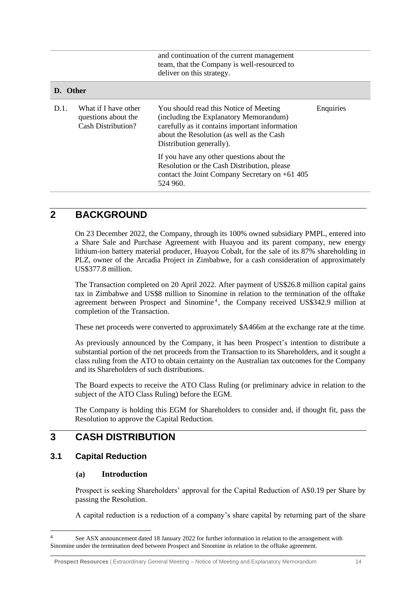| and continuation of the current management<br>team, that the Company is well-resourced to<br>deliver on this strategy. |                                                                   |                                                                                                                                                                                                             |           |
|------------------------------------------------------------------------------------------------------------------------|-------------------------------------------------------------------|-------------------------------------------------------------------------------------------------------------------------------------------------------------------------------------------------------------|-----------|
| D. Other                                                                                                               |                                                                   |                                                                                                                                                                                                             |           |
| D.1.                                                                                                                   | What if I have other<br>questions about the<br>Cash Distribution? | You should read this Notice of Meeting<br>(including the Explanatory Memorandum)<br>carefully as it contains important information<br>about the Resolution (as well as the Cash<br>Distribution generally). | Enquiries |
|                                                                                                                        |                                                                   | If you have any other questions about the<br>Resolution or the Cash Distribution, please<br>contact the Joint Company Secretary on $+61$ 405<br>524 960.                                                    |           |
|                                                                                                                        |                                                                   |                                                                                                                                                                                                             |           |

## **2 BACKGROUND**

On 23 December 2022, the Company, through its 100% owned subsidiary PMPL, entered into a Share Sale and Purchase Agreement with Huayou and its parent company, new energy lithium-ion battery material producer, Huayou Cobalt, for the sale of its 87% shareholding in PLZ, owner of the Arcadia Project in Zimbabwe, for a cash consideration of approximately US\$377.8 million.

The Transaction completed on 20 April 2022. After payment of US\$26.8 million capital gains tax in Zimbabwe and US\$8 million to Sinomine in relation to the termination of the offtake agreement between Prospect and Sinomine<sup>4</sup>, the Company received US\$342.9 million at completion of the Transaction.

These net proceeds were converted to approximately \$A466m at the exchange rate at the time.

As previously announced by the Company, it has been Prospect's intention to distribute a substantial portion of the net proceeds from the Transaction to its Shareholders, and it sought a class ruling from the ATO to obtain certainty on the Australian tax outcomes for the Company and its Shareholders of such distributions.

The Board expects to receive the ATO Class Ruling (or preliminary advice in relation to the subject of the ATO Class Ruling) before the EGM.

The Company is holding this EGM for Shareholders to consider and, if thought fit, pass the Resolution to approve the Capital Reduction.

### **3 CASH DISTRIBUTION**

#### <span id="page-13-0"></span>**3.1 Capital Reduction**

#### **(a) Introduction**

Prospect is seeking Shareholders' approval for the Capital Reduction of A\$0.19 per Share by passing the Resolution.

A capital reduction is a reduction of a company's share capital by returning part of the share

<sup>&</sup>lt;sup>4</sup> See ASX announcement dated 18 January 2022 for further information in relation to the arrangement with Sinomine under the termination deed between Prospect and Sinomine in relation to the offtake agreement.

**Prospect Resources** | Extraordinary General Meeting – Notice of Meeting and Explanatory Memorandum 14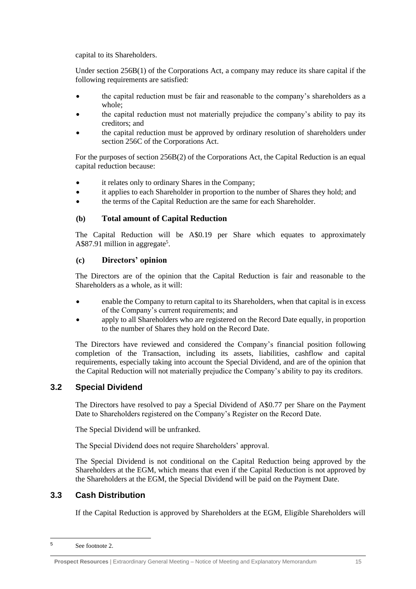capital to its Shareholders.

Under section 256B(1) of the Corporations Act, a company may reduce its share capital if the following requirements are satisfied:

- the capital reduction must be fair and reasonable to the company's shareholders as a whole;
- the capital reduction must not materially prejudice the company's ability to pay its creditors; and
- the capital reduction must be approved by ordinary resolution of shareholders under section 256C of the Corporations Act.

For the purposes of section 256B(2) of the Corporations Act, the Capital Reduction is an equal capital reduction because:

- it relates only to ordinary Shares in the Company;
- it applies to each Shareholder in proportion to the number of Shares they hold; and
- the terms of the Capital Reduction are the same for each Shareholder.

#### **(b) Total amount of Capital Reduction**

The Capital Reduction will be A\$0.19 per Share which equates to approximately A\$87.91 million in aggregate<sup>5</sup>.

#### **(c) Directors' opinion**

The Directors are of the opinion that the Capital Reduction is fair and reasonable to the Shareholders as a whole, as it will:

- enable the Company to return capital to its Shareholders, when that capital is in excess of the Company's current requirements; and
- apply to all Shareholders who are registered on the Record Date equally, in proportion to the number of Shares they hold on the Record Date.

The Directors have reviewed and considered the Company's financial position following completion of the Transaction, including its assets, liabilities, cashflow and capital requirements, especially taking into account the Special Dividend, and are of the opinion that the Capital Reduction will not materially prejudice the Company's ability to pay its creditors.

#### <span id="page-14-1"></span>**3.2 Special Dividend**

The Directors have resolved to pay a Special Dividend of A\$0.77 per Share on the Payment Date to Shareholders registered on the Company's Register on the Record Date.

The Special Dividend will be unfranked.

The Special Dividend does not require Shareholders' approval.

The Special Dividend is not conditional on the Capital Reduction being approved by the Shareholders at the EGM, which means that even if the Capital Reduction is not approved by the Shareholders at the EGM, the Special Dividend will be paid on the Payment Date.

### <span id="page-14-0"></span>**3.3 Cash Distribution**

If the Capital Reduction is approved by Shareholders at the EGM, Eligible Shareholders will

<sup>5</sup> See footnote 2.

**Prospect Resources** | Extraordinary General Meeting – Notice of Meeting and Explanatory Memorandum 15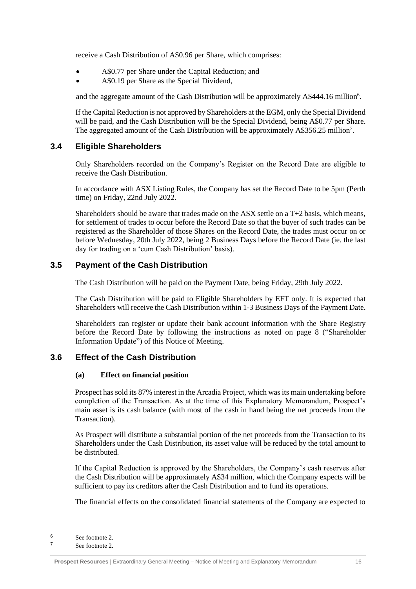receive a Cash Distribution of A\$0.96 per Share, which comprises:

- A\$0.77 per Share under the Capital Reduction; and
- A\$0.19 per Share as the Special Dividend,

and the aggregate amount of the Cash Distribution will be approximately A\$444.16 million<sup>6</sup>.

If the Capital Reduction is not approved by Shareholders at the EGM, only the Special Dividend will be paid, and the Cash Distribution will be the Special Dividend, being A\$0.77 per Share. The aggregated amount of the Cash Distribution will be approximately A\$356.25 million<sup>7</sup>.

#### <span id="page-15-0"></span>**3.4 Eligible Shareholders**

Only Shareholders recorded on the Company's Register on the Record Date are eligible to receive the Cash Distribution.

In accordance with ASX Listing Rules, the Company has set the Record Date to be 5pm (Perth time) on Friday, 22nd July 2022.

Shareholders should be aware that trades made on the ASX settle on a T+2 basis, which means, for settlement of trades to occur before the Record Date so that the buyer of such trades can be registered as the Shareholder of those Shares on the Record Date, the trades must occur on or before Wednesday, 20th July 2022, being 2 Business Days before the Record Date (ie. the last day for trading on a 'cum Cash Distribution' basis).

#### <span id="page-15-2"></span>**3.5 Payment of the Cash Distribution**

The Cash Distribution will be paid on the Payment Date, being Friday, 29th July 2022.

The Cash Distribution will be paid to Eligible Shareholders by EFT only. It is expected that Shareholders will receive the Cash Distribution within 1-3 Business Days of the Payment Date.

Shareholders can register or update their bank account information with the Share Registry before the Record Date by following the instructions as noted on page 8 ("Shareholder Information Update") of this Notice of Meeting.

#### <span id="page-15-3"></span><span id="page-15-1"></span>**3.6 Effect of the Cash Distribution**

#### **(a) Effect on financial position**

Prospect has sold its 87% interest in the Arcadia Project, which was its main undertaking before completion of the Transaction. As at the time of this Explanatory Memorandum, Prospect's main asset is its cash balance (with most of the cash in hand being the net proceeds from the Transaction).

As Prospect will distribute a substantial portion of the net proceeds from the Transaction to its Shareholders under the Cash Distribution, its asset value will be reduced by the total amount to be distributed.

If the Capital Reduction is approved by the Shareholders, the Company's cash reserves after the Cash Distribution will be approximately A\$34 million, which the Company expects will be sufficient to pay its creditors after the Cash Distribution and to fund its operations.

The financial effects on the consolidated financial statements of the Company are expected to

 $\frac{6}{7}$  See footnote 2.

See footnote 2.

**Prospect Resources** | Extraordinary General Meeting – Notice of Meeting and Explanatory Memorandum 16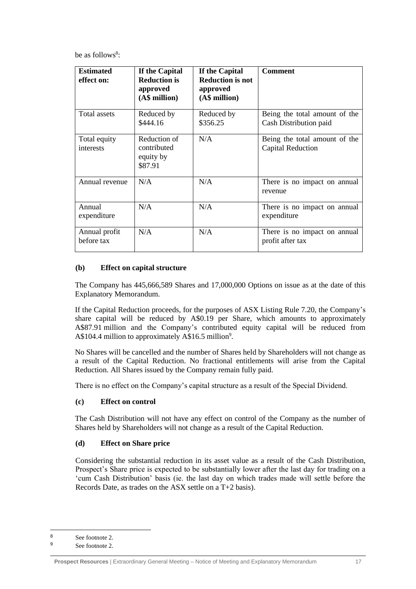be as follows<sup>8</sup>:

| <b>Estimated</b><br>effect on: | If the Capital<br><b>Reduction is</b><br>approved<br>(A\$ million) | If the Capital<br><b>Reduction is not</b><br>approved<br>(A\$ million) | <b>Comment</b>                                            |
|--------------------------------|--------------------------------------------------------------------|------------------------------------------------------------------------|-----------------------------------------------------------|
| Total assets                   | Reduced by<br>\$444.16                                             | Reduced by<br>\$356.25                                                 | Being the total amount of the<br>Cash Distribution paid   |
| Total equity<br>interests      | Reduction of<br>contributed<br>equity by<br>\$87.91                | N/A                                                                    | Being the total amount of the<br><b>Capital Reduction</b> |
| Annual revenue                 | N/A                                                                | N/A                                                                    | There is no impact on annual<br>revenue                   |
| Annual<br>expenditure          | N/A                                                                | N/A                                                                    | There is no impact on annual<br>expenditure               |
| Annual profit<br>before tax    | N/A                                                                | N/A                                                                    | There is no impact on annual<br>profit after tax          |

#### **(b) Effect on capital structure**

The Company has 445,666,589 Shares and 17,000,000 Options on issue as at the date of this Explanatory Memorandum.

If the Capital Reduction proceeds, for the purposes of ASX Listing Rule 7.20, the Company's share capital will be reduced by A\$0.19 per Share, which amounts to approximately A\$87.91 million and the Company's contributed equity capital will be reduced from A\$104.4 million to approximately A\$16.5 million<sup>9</sup>.

No Shares will be cancelled and the number of Shares held by Shareholders will not change as a result of the Capital Reduction. No fractional entitlements will arise from the Capital Reduction. All Shares issued by the Company remain fully paid.

There is no effect on the Company's capital structure as a result of the Special Dividend.

#### **(c) Effect on control**

The Cash Distribution will not have any effect on control of the Company as the number of Shares held by Shareholders will not change as a result of the Capital Reduction.

#### **(d) Effect on Share price**

Considering the substantial reduction in its asset value as a result of the Cash Distribution, Prospect's Share price is expected to be substantially lower after the last day for trading on a 'cum Cash Distribution' basis (ie. the last day on which trades made will settle before the Records Date, as trades on the ASX settle on a T+2 basis).

<sup>8</sup> See footnote 2.

<sup>9</sup> See footnote 2.

**Prospect Resources** | Extraordinary General Meeting – Notice of Meeting and Explanatory Memorandum 17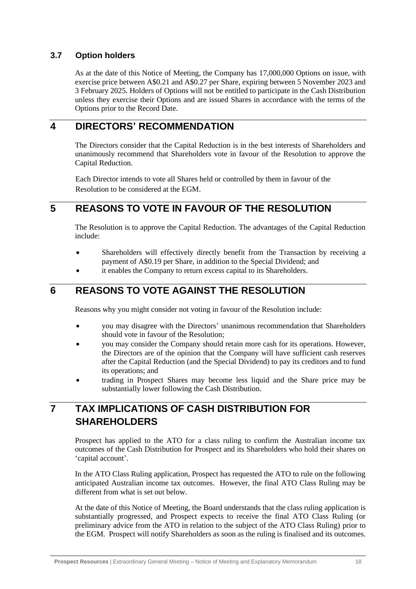### **3.7 Option holders**

As at the date of this Notice of Meeting, the Company has 17,000,000 Options on issue, with exercise price between A\$0.21 and A\$0.27 per Share, expiring between 5 November 2023 and 3 February 2025. Holders of Options will not be entitled to participate in the Cash Distribution unless they exercise their Options and are issued Shares in accordance with the terms of the Options prior to the Record Date.

### <span id="page-17-1"></span>**4 DIRECTORS' RECOMMENDATION**

The Directors consider that the Capital Reduction is in the best interests of Shareholders and unanimously recommend that Shareholders vote in favour of the Resolution to approve the Capital Reduction.

Each Director intends to vote all Shares held or controlled by them in favour of the Resolution to be considered at the EGM.

## <span id="page-17-2"></span>**5 REASONS TO VOTE IN FAVOUR OF THE RESOLUTION**

The Resolution is to approve the Capital Reduction. The advantages of the Capital Reduction include:

- Shareholders will effectively directly benefit from the Transaction by receiving a payment of A\$0.19 per Share, in addition to the Special Dividend; and
- it enables the Company to return excess capital to its Shareholders.

## <span id="page-17-3"></span>**6 REASONS TO VOTE AGAINST THE RESOLUTION**

Reasons why you might consider not voting in favour of the Resolution include:

- you may disagree with the Directors' unanimous recommendation that Shareholders should vote in favour of the Resolution;
- you may consider the Company should retain more cash for its operations. However, the Directors are of the opinion that the Company will have sufficient cash reserves after the Capital Reduction (and the Special Dividend) to pay its creditors and to fund its operations; and
- trading in Prospect Shares may become less liquid and the Share price may be substantially lower following the Cash Distribution.

# <span id="page-17-0"></span>**7 TAX IMPLICATIONS OF CASH DISTRIBUTION FOR SHAREHOLDERS**

Prospect has applied to the ATO for a class ruling to confirm the Australian income tax outcomes of the Cash Distribution for Prospect and its Shareholders who hold their shares on 'capital account'.

In the ATO Class Ruling application, Prospect has requested the ATO to rule on the following anticipated Australian income tax outcomes. However, the final ATO Class Ruling may be different from what is set out below.

At the date of this Notice of Meeting, the Board understands that the class ruling application is substantially progressed, and Prospect expects to receive the final ATO Class Ruling (or preliminary advice from the ATO in relation to the subject of the ATO Class Ruling) prior to the EGM. Prospect will notify Shareholders as soon as the ruling is finalised and its outcomes.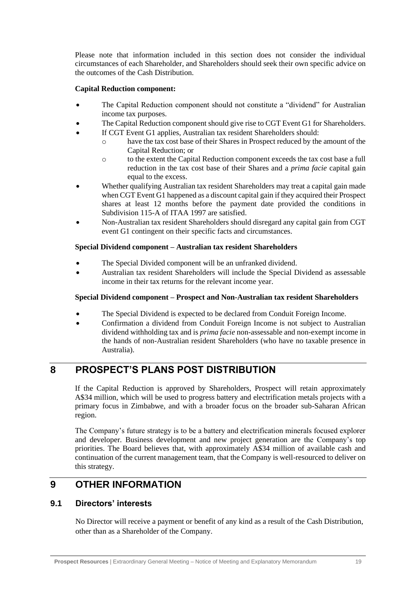Please note that information included in this section does not consider the individual circumstances of each Shareholder, and Shareholders should seek their own specific advice on the outcomes of the Cash Distribution.

#### **Capital Reduction component:**

- The Capital Reduction component should not constitute a "dividend" for Australian income tax purposes.
- The Capital Reduction component should give rise to CGT Event G1 for Shareholders.
	- If CGT Event G1 applies, Australian tax resident Shareholders should:
		- o have the tax cost base of their Shares in Prospect reduced by the amount of the Capital Reduction; or
		- o to the extent the Capital Reduction component exceeds the tax cost base a full reduction in the tax cost base of their Shares and a *prima facie* capital gain equal to the excess.
- Whether qualifying Australian tax resident Shareholders may treat a capital gain made when CGT Event G1 happened as a discount capital gain if they acquired their Prospect shares at least 12 months before the payment date provided the conditions in Subdivision 115-A of ITAA 1997 are satisfied.
- Non-Australian tax resident Shareholders should disregard any capital gain from CGT event G1 contingent on their specific facts and circumstances.

#### **Special Dividend component – Australian tax resident Shareholders**

- The Special Divided component will be an unfranked dividend.
- Australian tax resident Shareholders will include the Special Dividend as assessable income in their tax returns for the relevant income year.

#### **Special Dividend component – Prospect and Non-Australian tax resident Shareholders**

- The Special Dividend is expected to be declared from Conduit Foreign Income.
- Confirmation a dividend from Conduit Foreign Income is not subject to Australian dividend withholding tax and is *prima facie* non-assessable and non-exempt income in the hands of non-Australian resident Shareholders (who have no taxable presence in Australia).

### <span id="page-18-0"></span>**8 PROSPECT'S PLANS POST DISTRIBUTION**

If the Capital Reduction is approved by Shareholders, Prospect will retain approximately A\$34 million, which will be used to progress battery and electrification metals projects with a primary focus in Zimbabwe, and with a broader focus on the broader sub-Saharan African region.

The Company's future strategy is to be a battery and electrification minerals focused explorer and developer. Business development and new project generation are the Company's top priorities. The Board believes that, with approximately A\$34 million of available cash and continuation of the current management team, that the Company is well-resourced to deliver on this strategy.

### **9 OTHER INFORMATION**

#### **9.1 Directors' interests**

No Director will receive a payment or benefit of any kind as a result of the Cash Distribution, other than as a Shareholder of the Company.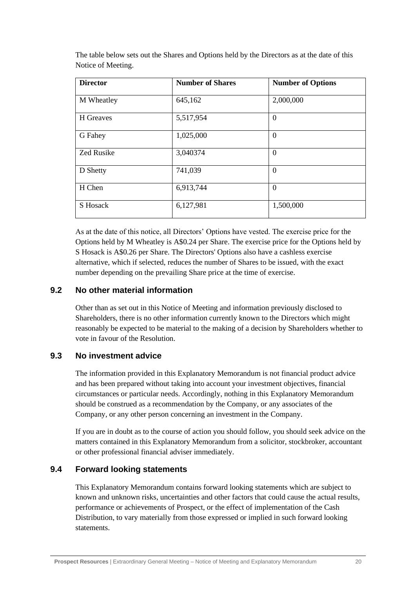| <b>Director</b>   | <b>Number of Shares</b> | <b>Number of Options</b> |
|-------------------|-------------------------|--------------------------|
| M Wheatley        | 645,162                 | 2,000,000                |
| H Greaves         | 5,517,954               | $\overline{0}$           |
| G Fahey           | 1,025,000               | $\theta$                 |
| <b>Zed Rusike</b> | 3,040374                | $\Omega$                 |
| D Shetty          | 741,039                 | $\Omega$                 |
| H Chen            | 6,913,744               | $\Omega$                 |
| S Hosack          | 6,127,981               | 1,500,000                |

The table below sets out the Shares and Options held by the Directors as at the date of this Notice of Meeting.

As at the date of this notice, all Directors' Options have vested. The exercise price for the Options held by M Wheatley is A\$0.24 per Share. The exercise price for the Options held by S Hosack is A\$0.26 per Share. The Directors' Options also have a cashless exercise alternative, which if selected, reduces the number of Shares to be issued, with the exact number depending on the prevailing Share price at the time of exercise.

#### **9.2 No other material information**

Other than as set out in this Notice of Meeting and information previously disclosed to Shareholders, there is no other information currently known to the Directors which might reasonably be expected to be material to the making of a decision by Shareholders whether to vote in favour of the Resolution.

#### **9.3 No investment advice**

The information provided in this Explanatory Memorandum is not financial product advice and has been prepared without taking into account your investment objectives, financial circumstances or particular needs. Accordingly, nothing in this Explanatory Memorandum should be construed as a recommendation by the Company, or any associates of the Company, or any other person concerning an investment in the Company.

If you are in doubt as to the course of action you should follow, you should seek advice on the matters contained in this Explanatory Memorandum from a solicitor, stockbroker, accountant or other professional financial adviser immediately.

#### **9.4 Forward looking statements**

This Explanatory Memorandum contains forward looking statements which are subject to known and unknown risks, uncertainties and other factors that could cause the actual results, performance or achievements of Prospect, or the effect of implementation of the Cash Distribution, to vary materially from those expressed or implied in such forward looking statements.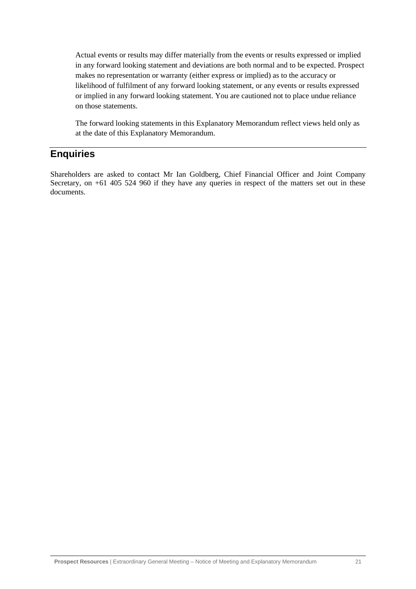Actual events or results may differ materially from the events or results expressed or implied in any forward looking statement and deviations are both normal and to be expected. Prospect makes no representation or warranty (either express or implied) as to the accuracy or likelihood of fulfilment of any forward looking statement, or any events or results expressed or implied in any forward looking statement. You are cautioned not to place undue reliance on those statements.

The forward looking statements in this Explanatory Memorandum reflect views held only as at the date of this Explanatory Memorandum.

### **Enquiries**

Shareholders are asked to contact Mr Ian Goldberg, Chief Financial Officer and Joint Company Secretary, on +61 405 524 960 if they have any queries in respect of the matters set out in these documents.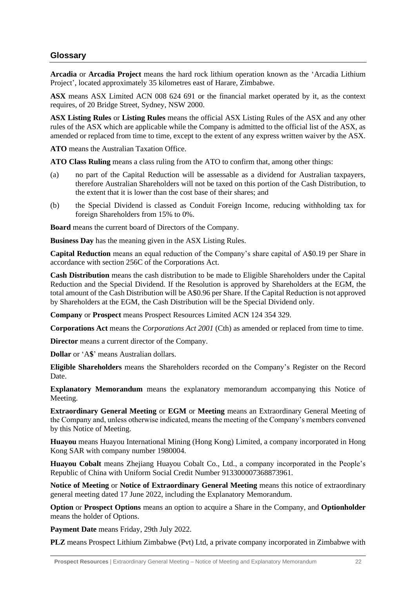#### **Glossary**

**Arcadia** or **Arcadia Project** means the hard rock lithium operation known as the 'Arcadia Lithium Project', located approximately 35 kilometres east of Harare, Zimbabwe.

**ASX** means ASX Limited ACN 008 624 691 or the financial market operated by it, as the context requires, of 20 Bridge Street, Sydney, NSW 2000.

**ASX Listing Rules** or **Listing Rules** means the official ASX Listing Rules of the ASX and any other rules of the ASX which are applicable while the Company is admitted to the official list of the ASX, as amended or replaced from time to time, except to the extent of any express written waiver by the ASX.

**ATO** means the Australian Taxation Office.

**ATO Class Ruling** means a class ruling from the ATO to confirm that, among other things:

- (a) no part of the Capital Reduction will be assessable as a dividend for Australian taxpayers, therefore Australian Shareholders will not be taxed on this portion of the Cash Distribution, to the extent that it is lower than the cost base of their shares; and
- (b) the Special Dividend is classed as Conduit Foreign Income, reducing withholding tax for foreign Shareholders from 15% to 0%.

**Board** means the current board of Directors of the Company.

**Business Day** has the meaning given in the ASX Listing Rules.

**Capital Reduction** means an equal reduction of the Company's share capital of A\$0.19 per Share in accordance with section 256C of the Corporations Act.

**Cash Distribution** means the cash distribution to be made to Eligible Shareholders under the Capital Reduction and the Special Dividend. If the Resolution is approved by Shareholders at the EGM, the total amount of the Cash Distribution will be A\$0.96 per Share. If the Capital Reduction is not approved by Shareholders at the EGM, the Cash Distribution will be the Special Dividend only.

**Company** or **Prospect** means Prospect Resources Limited ACN 124 354 329.

**Corporations Act** means the *Corporations Act 2001* (Cth) as amended or replaced from time to time.

**Director** means a current director of the Company.

**Dollar** or 'A**\$**' means Australian dollars.

**Eligible Shareholders** means the Shareholders recorded on the Company's Register on the Record Date.

**Explanatory Memorandum** means the explanatory memorandum accompanying this Notice of Meeting.

**Extraordinary General Meeting** or **EGM** or **Meeting** means an Extraordinary General Meeting of the Company and, unless otherwise indicated, means the meeting of the Company's members convened by this Notice of Meeting.

**Huayou** means Huayou International Mining (Hong Kong) Limited, a company incorporated in Hong Kong SAR with company number 1980004.

**Huayou Cobalt** means Zhejiang Huayou Cobalt Co., Ltd., a company incorporated in the People's Republic of China with Uniform Social Credit Number 913300007368873961.

**Notice of Meeting** or **Notice of Extraordinary General Meeting** means this notice of extraordinary general meeting dated 17 June 2022, including the Explanatory Memorandum.

**Option** or **Prospect Options** means an option to acquire a Share in the Company, and **Optionholder**  means the holder of Options.

**Payment Date** means Friday, 29th July 2022.

**PLZ** means Prospect Lithium Zimbabwe (Pvt) Ltd, a private company incorporated in Zimbabwe with